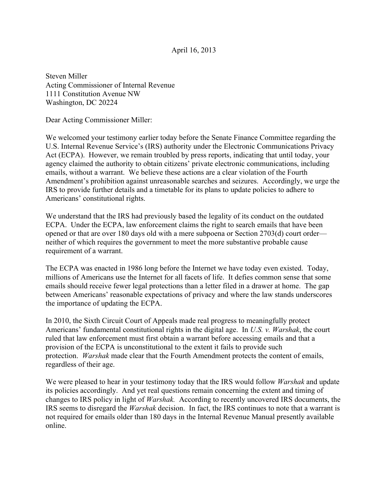## April 16, 2013

Steven Miller Acting Commissioner of Internal Revenue 1111 Constitution Avenue NW Washington, DC 20224

Dear Acting Commissioner Miller:

We welcomed your testimony earlier today before the Senate Finance Committee regarding the U.S. Internal Revenue Service's (IRS) authority under the Electronic Communications Privacy Act (ECPA). However, we remain troubled by press reports, indicating that until today, your agency claimed the authority to obtain citizens' private electronic communications, including emails, without a warrant. We believe these actions are a clear violation of the Fourth Amendment's prohibition against unreasonable searches and seizures. Accordingly, we urge the IRS to provide further details and a timetable for its plans to update policies to adhere to Americans' constitutional rights.

We understand that the IRS had previously based the legality of its conduct on the outdated ECPA. Under the ECPA, law enforcement claims the right to search emails that have been opened or that are over 180 days old with a mere subpoena or Section 2703(d) court order neither of which requires the government to meet the more substantive probable cause requirement of a warrant.

The ECPA was enacted in 1986 long before the Internet we have today even existed. Today, millions of Americans use the Internet for all facets of life. It defies common sense that some emails should receive fewer legal protections than a letter filed in a drawer at home. The gap between Americans' reasonable expectations of privacy and where the law stands underscores the importance of updating the ECPA.

In 2010, the Sixth Circuit Court of Appeals made real progress to meaningfully protect Americans' fundamental constitutional rights in the digital age. In *U.S. v. Warshak*, the court ruled that law enforcement must first obtain a warrant before accessing emails and that a provision of the ECPA is unconstitutional to the extent it fails to provide such protection. *Warshak* made clear that the Fourth Amendment protects the content of emails, regardless of their age.

We were pleased to hear in your testimony today that the IRS would follow *Warshak* and update its policies accordingly. And yet real questions remain concerning the extent and timing of changes to IRS policy in light of *Warshak.* According to recently uncovered IRS documents, the IRS seems to disregard the *Warshak* decision. In fact, the IRS continues to note that a warrant is not required for emails older than 180 days in the Internal Revenue Manual presently available online.